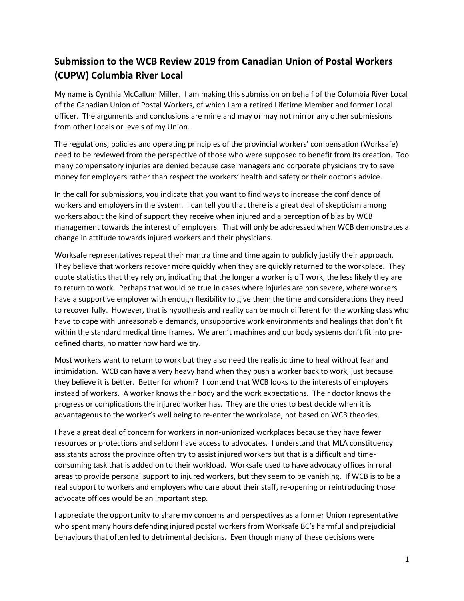# **Submission to the WCB Review 2019 from Canadian Union of Postal Workers (CUPW) Columbia River Local**

My name is Cynthia McCallum Miller. I am making this submission on behalf of the Columbia River Local of the Canadian Union of Postal Workers, of which I am a retired Lifetime Member and former Local officer. The arguments and conclusions are mine and may or may not mirror any other submissions from other Locals or levels of my Union.

The regulations, policies and operating principles of the provincial workers' compensation (Worksafe) need to be reviewed from the perspective of those who were supposed to benefit from its creation. Too many compensatory injuries are denied because case managers and corporate physicians try to save money for employers rather than respect the workers' health and safety or their doctor's advice.

In the call for submissions, you indicate that you want to find ways to increase the confidence of workers and employers in the system. I can tell you that there is a great deal of skepticism among workers about the kind of support they receive when injured and a perception of bias by WCB management towards the interest of employers. That will only be addressed when WCB demonstrates a change in attitude towards injured workers and their physicians.

Worksafe representatives repeat their mantra time and time again to publicly justify their approach. They believe that workers recover more quickly when they are quickly returned to the workplace. They quote statistics that they rely on, indicating that the longer a worker is off work, the less likely they are to return to work. Perhaps that would be true in cases where injuries are non severe, where workers have a supportive employer with enough flexibility to give them the time and considerations they need to recover fully. However, that is hypothesis and reality can be much different for the working class who have to cope with unreasonable demands, unsupportive work environments and healings that don't fit within the standard medical time frames. We aren't machines and our body systems don't fit into predefined charts, no matter how hard we try.

Most workers want to return to work but they also need the realistic time to heal without fear and intimidation. WCB can have a very heavy hand when they push a worker back to work, just because they believe it is better. Better for whom? I contend that WCB looks to the interests of employers instead of workers. A worker knows their body and the work expectations. Their doctor knows the progress or complications the injured worker has. They are the ones to best decide when it is advantageous to the worker's well being to re-enter the workplace, not based on WCB theories.

I have a great deal of concern for workers in non-unionized workplaces because they have fewer resources or protections and seldom have access to advocates. I understand that MLA constituency assistants across the province often try to assist injured workers but that is a difficult and timeconsuming task that is added on to their workload. Worksafe used to have advocacy offices in rural areas to provide personal support to injured workers, but they seem to be vanishing. If WCB is to be a real support to workers and employers who care about their staff, re-opening or reintroducing those advocate offices would be an important step.

I appreciate the opportunity to share my concerns and perspectives as a former Union representative who spent many hours defending injured postal workers from Worksafe BC's harmful and prejudicial behaviours that often led to detrimental decisions. Even though many of these decisions were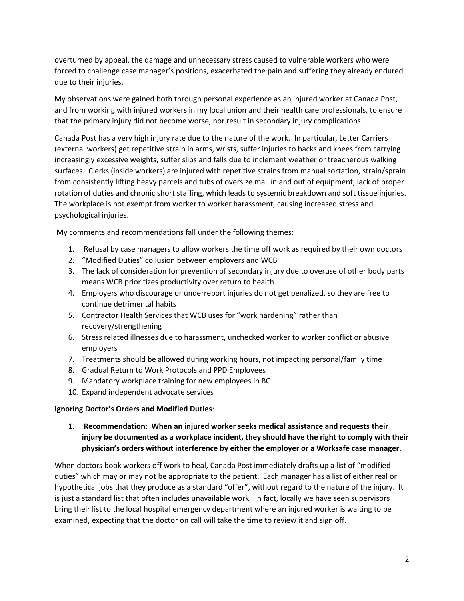overturned by appeal, the damage and unnecessary stress caused to vulnerable workers who were forced to challenge case manager's positions, exacerbated the pain and suffering they already endured due to their injuries.

My observations were gained both through personal experience as an injured worker at Canada Post, and from working with injured workers in my local union and their health care professionals, to ensure that the primary injury did not become worse, nor result in secondary injury complications.

Canada Post has a very high injury rate due to the nature of the work. In particular, Letter Carriers (external workers) get repetitive strain in arms, wrists, suffer injuries to backs and knees from carrying increasingly excessive weights, suffer slips and falls due to inclement weather or treacherous walking surfaces. Clerks (inside workers) are injured with repetitive strains from manual sortation, strain/sprain from consistently lifting heavy parcels and tubs of oversize mail in and out of equipment, lack of proper rotation of duties and chronic short staffing, which leads to systemic breakdown and soft tissue injuries. The workplace is not exempt from worker to worker harassment, causing increased stress and psychological injuries.

My comments and recommendations fall under the following themes:

- 1. Refusal by case managers to allow workers the time off work as required by their own doctors
- 2. "Modified Duties" collusion between employers and WCB
- 3. The lack of consideration for prevention of secondary injury due to overuse of other body parts means WCB prioritizes productivity over return to health
- 4. Employers who discourage or underreport injuries do not get penalized, so they are free to continue detrimental habits
- 5. Contractor Health Services that WCB uses for "work hardening" rather than recovery/strengthening
- 6. Stress related illnesses due to harassment, unchecked worker to worker conflict or abusive employers
- 7. Treatments should be allowed during working hours, not impacting personal/family time
- 8. Gradual Return to Work Protocols and PPD Employees
- 9. Mandatory workplace training for new employees in BC
- 10. Expand independent advocate services

#### **Ignoring Doctor's Orders and Modified Duties**:

**1. Recommendation: When an injured worker seeks medical assistance and requests their injury be documented as a workplace incident, they should have the right to comply with their physician's orders without interference by either the employer or a Worksafe case manager**.

When doctors book workers off work to heal, Canada Post immediately drafts up a list of "modified duties" which may or may not be appropriate to the patient. Each manager has a list of either real or hypothetical jobs that they produce as a standard "offer", without regard to the nature of the injury. It is just a standard list that often includes unavailable work. In fact, locally we have seen supervisors bring their list to the local hospital emergency department where an injured worker is waiting to be examined, expecting that the doctor on call will take the time to review it and sign off.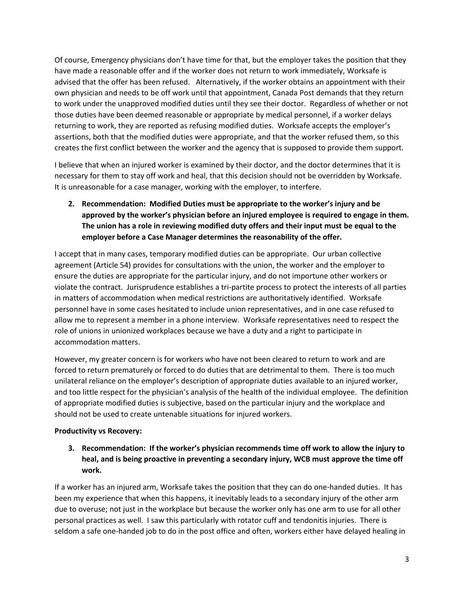Of course, Emergency physicians don't have time for that, but the employer takes the position that they have made a reasonable offer and if the worker does not return to work immediately, Worksafe is advised that the offer has been refused. Alternatively, if the worker obtains an appointment with their own physician and needs to be off work until that appointment, Canada Post demands that they return to work under the unapproved modified duties until they see their doctor. Regardless of whether or not those duties have been deemed reasonable or appropriate by medical personnel, if a worker delays returning to work, they are reported as refusing modified duties. Worksafe accepts the employer's assertions, both that the modified duties were appropriate, and that the worker refused them, so this creates the first conflict between the worker and the agency that is supposed to provide them support.

I believe that when an injured worker is examined by their doctor, and the doctor determines that it is necessary for them to stay off work and heal, that this decision should not be overridden by Worksafe. It is unreasonable for a case manager, working with the employer, to interfere.

**2. Recommendation: Modified Duties must be appropriate to the worker's injury and be approved by the worker's physician before an injured employee is required to engage in them. The union has a role in reviewing modified duty offers and their input must be equal to the employer before a Case Manager determines the reasonability of the offer.**

I accept that in many cases, temporary modified duties can be appropriate. Our urban collective agreement (Article 54) provides for consultations with the union, the worker and the employer to ensure the duties are appropriate for the particular injury, and do not importune other workers or violate the contract. Jurisprudence establishes a tri-partite process to protect the interests of all parties in matters of accommodation when medical restrictions are authoritatively identified. Worksafe personnel have in some cases hesitated to include union representatives, and in one case refused to allow me to represent a member in a phone interview. Worksafe representatives need to respect the role of unions in unionized workplaces because we have a duty and a right to participate in accommodation matters.

However, my greater concern is for workers who have not been cleared to return to work and are forced to return prematurely or forced to do duties that are detrimental to them. There is too much unilateral reliance on the employer's description of appropriate duties available to an injured worker, and too little respect for the physician's analysis of the health of the individual employee. The definition of appropriate modified duties is subjective, based on the particular injury and the workplace and should not be used to create untenable situations for injured workers.

## **Productivity vs Recovery:**

**3. Recommendation: If the worker's physician recommends time off work to allow the injury to heal, and is being proactive in preventing a secondary injury, WCB must approve the time off work.**

If a worker has an injured arm, Worksafe takes the position that they can do one-handed duties. It has been my experience that when this happens, it inevitably leads to a secondary injury of the other arm due to overuse; not just in the workplace but because the worker only has one arm to use for all other personal practices as well. I saw this particularly with rotator cuff and tendonitis injuries. There is seldom a safe one-handed job to do in the post office and often, workers either have delayed healing in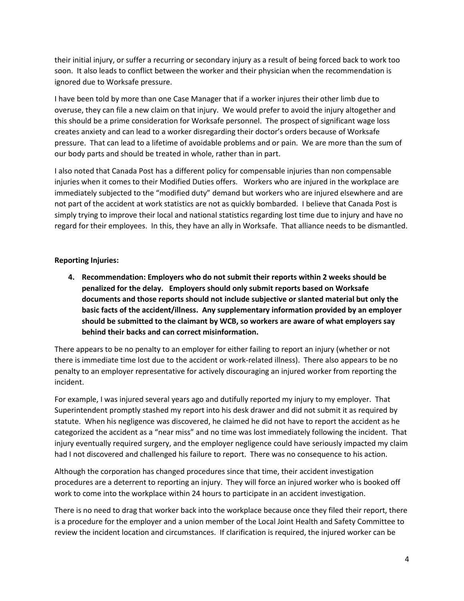their initial injury, or suffer a recurring or secondary injury as a result of being forced back to work too soon. It also leads to conflict between the worker and their physician when the recommendation is ignored due to Worksafe pressure.

I have been told by more than one Case Manager that if a worker injures their other limb due to overuse, they can file a new claim on that injury. We would prefer to avoid the injury altogether and this should be a prime consideration for Worksafe personnel. The prospect of significant wage loss creates anxiety and can lead to a worker disregarding their doctor's orders because of Worksafe pressure. That can lead to a lifetime of avoidable problems and or pain. We are more than the sum of our body parts and should be treated in whole, rather than in part.

I also noted that Canada Post has a different policy for compensable injuries than non compensable injuries when it comes to their Modified Duties offers. Workers who are injured in the workplace are immediately subjected to the "modified duty" demand but workers who are injured elsewhere and are not part of the accident at work statistics are not as quickly bombarded. I believe that Canada Post is simply trying to improve their local and national statistics regarding lost time due to injury and have no regard for their employees. In this, they have an ally in Worksafe. That alliance needs to be dismantled.

## **Reporting Injuries:**

**4. Recommendation: Employers who do not submit their reports within 2 weeks should be penalized for the delay. Employers should only submit reports based on Worksafe documents and those reports should not include subjective or slanted material but only the basic facts of the accident/illness. Any supplementary information provided by an employer should be submitted to the claimant by WCB, so workers are aware of what employers say behind their backs and can correct misinformation.**

There appears to be no penalty to an employer for either failing to report an injury (whether or not there is immediate time lost due to the accident or work-related illness). There also appears to be no penalty to an employer representative for actively discouraging an injured worker from reporting the incident.

For example, I was injured several years ago and dutifully reported my injury to my employer. That Superintendent promptly stashed my report into his desk drawer and did not submit it as required by statute. When his negligence was discovered, he claimed he did not have to report the accident as he categorized the accident as a "near miss" and no time was lost immediately following the incident. That injury eventually required surgery, and the employer negligence could have seriously impacted my claim had I not discovered and challenged his failure to report. There was no consequence to his action.

Although the corporation has changed procedures since that time, their accident investigation procedures are a deterrent to reporting an injury. They will force an injured worker who is booked off work to come into the workplace within 24 hours to participate in an accident investigation.

There is no need to drag that worker back into the workplace because once they filed their report, there is a procedure for the employer and a union member of the Local Joint Health and Safety Committee to review the incident location and circumstances. If clarification is required, the injured worker can be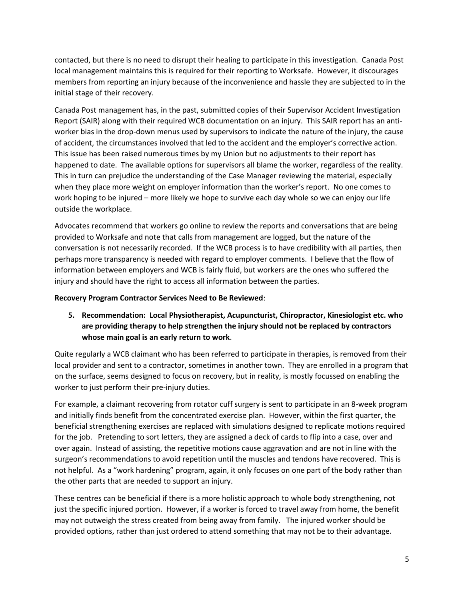contacted, but there is no need to disrupt their healing to participate in this investigation. Canada Post local management maintains this is required for their reporting to Worksafe. However, it discourages members from reporting an injury because of the inconvenience and hassle they are subjected to in the initial stage of their recovery.

Canada Post management has, in the past, submitted copies of their Supervisor Accident Investigation Report (SAIR) along with their required WCB documentation on an injury. This SAIR report has an antiworker bias in the drop-down menus used by supervisors to indicate the nature of the injury, the cause of accident, the circumstances involved that led to the accident and the employer's corrective action. This issue has been raised numerous times by my Union but no adjustments to their report has happened to date. The available options for supervisors all blame the worker, regardless of the reality. This in turn can prejudice the understanding of the Case Manager reviewing the material, especially when they place more weight on employer information than the worker's report. No one comes to work hoping to be injured – more likely we hope to survive each day whole so we can enjoy our life outside the workplace.

Advocates recommend that workers go online to review the reports and conversations that are being provided to Worksafe and note that calls from management are logged, but the nature of the conversation is not necessarily recorded. If the WCB process is to have credibility with all parties, then perhaps more transparency is needed with regard to employer comments. I believe that the flow of information between employers and WCB is fairly fluid, but workers are the ones who suffered the injury and should have the right to access all information between the parties.

### **Recovery Program Contractor Services Need to Be Reviewed**:

**5. Recommendation: Local Physiotherapist, Acupuncturist, Chiropractor, Kinesiologist etc. who are providing therapy to help strengthen the injury should not be replaced by contractors whose main goal is an early return to work**.

Quite regularly a WCB claimant who has been referred to participate in therapies, is removed from their local provider and sent to a contractor, sometimes in another town. They are enrolled in a program that on the surface, seems designed to focus on recovery, but in reality, is mostly focussed on enabling the worker to just perform their pre-injury duties.

For example, a claimant recovering from rotator cuff surgery is sent to participate in an 8-week program and initially finds benefit from the concentrated exercise plan. However, within the first quarter, the beneficial strengthening exercises are replaced with simulations designed to replicate motions required for the job. Pretending to sort letters, they are assigned a deck of cards to flip into a case, over and over again. Instead of assisting, the repetitive motions cause aggravation and are not in line with the surgeon's recommendations to avoid repetition until the muscles and tendons have recovered. This is not helpful. As a "work hardening" program, again, it only focuses on one part of the body rather than the other parts that are needed to support an injury.

These centres can be beneficial if there is a more holistic approach to whole body strengthening, not just the specific injured portion. However, if a worker is forced to travel away from home, the benefit may not outweigh the stress created from being away from family. The injured worker should be provided options, rather than just ordered to attend something that may not be to their advantage.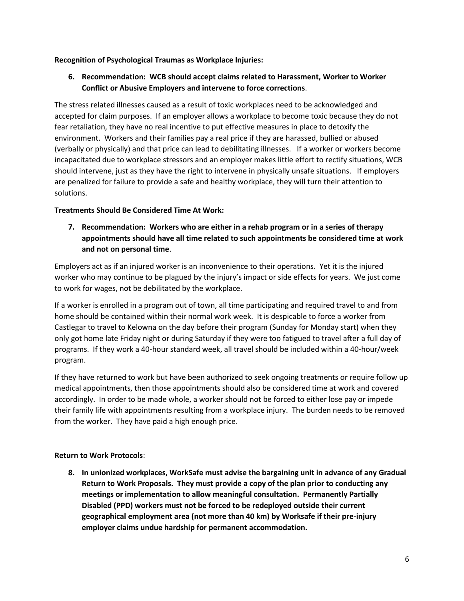### **Recognition of Psychological Traumas as Workplace Injuries:**

**6. Recommendation: WCB should accept claims related to Harassment, Worker to Worker Conflict or Abusive Employers and intervene to force corrections**.

The stress related illnesses caused as a result of toxic workplaces need to be acknowledged and accepted for claim purposes. If an employer allows a workplace to become toxic because they do not fear retaliation, they have no real incentive to put effective measures in place to detoxify the environment. Workers and their families pay a real price if they are harassed, bullied or abused (verbally or physically) and that price can lead to debilitating illnesses. If a worker or workers become incapacitated due to workplace stressors and an employer makes little effort to rectify situations, WCB should intervene, just as they have the right to intervene in physically unsafe situations. If employers are penalized for failure to provide a safe and healthy workplace, they will turn their attention to solutions.

### **Treatments Should Be Considered Time At Work:**

**7. Recommendation: Workers who are either in a rehab program or in a series of therapy appointments should have all time related to such appointments be considered time at work and not on personal time**.

Employers act as if an injured worker is an inconvenience to their operations. Yet it is the injured worker who may continue to be plagued by the injury's impact or side effects for years. We just come to work for wages, not be debilitated by the workplace.

If a worker is enrolled in a program out of town, all time participating and required travel to and from home should be contained within their normal work week. It is despicable to force a worker from Castlegar to travel to Kelowna on the day before their program (Sunday for Monday start) when they only got home late Friday night or during Saturday if they were too fatigued to travel after a full day of programs. If they work a 40-hour standard week, all travel should be included within a 40-hour/week program.

If they have returned to work but have been authorized to seek ongoing treatments or require follow up medical appointments, then those appointments should also be considered time at work and covered accordingly. In order to be made whole, a worker should not be forced to either lose pay or impede their family life with appointments resulting from a workplace injury. The burden needs to be removed from the worker. They have paid a high enough price.

## **Return to Work Protocols**:

**8. In unionized workplaces, WorkSafe must advise the bargaining unit in advance of any Gradual Return to Work Proposals. They must provide a copy of the plan prior to conducting any meetings or implementation to allow meaningful consultation. Permanently Partially Disabled (PPD) workers must not be forced to be redeployed outside their current geographical employment area (not more than 40 km) by Worksafe if their pre-injury employer claims undue hardship for permanent accommodation.**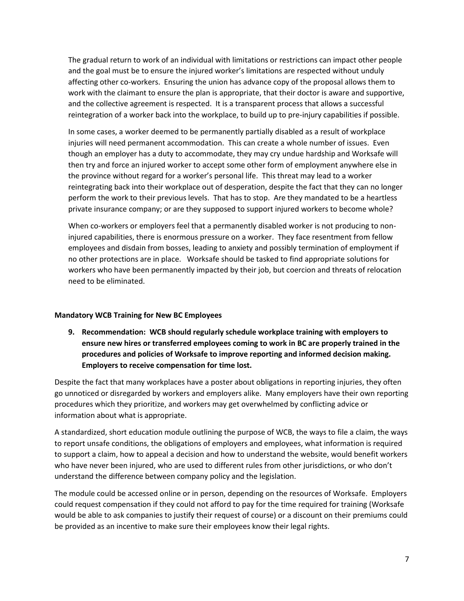The gradual return to work of an individual with limitations or restrictions can impact other people and the goal must be to ensure the injured worker's limitations are respected without unduly affecting other co-workers. Ensuring the union has advance copy of the proposal allows them to work with the claimant to ensure the plan is appropriate, that their doctor is aware and supportive, and the collective agreement is respected. It is a transparent process that allows a successful reintegration of a worker back into the workplace, to build up to pre-injury capabilities if possible.

In some cases, a worker deemed to be permanently partially disabled as a result of workplace injuries will need permanent accommodation. This can create a whole number of issues. Even though an employer has a duty to accommodate, they may cry undue hardship and Worksafe will then try and force an injured worker to accept some other form of employment anywhere else in the province without regard for a worker's personal life. This threat may lead to a worker reintegrating back into their workplace out of desperation, despite the fact that they can no longer perform the work to their previous levels. That has to stop. Are they mandated to be a heartless private insurance company; or are they supposed to support injured workers to become whole?

When co-workers or employers feel that a permanently disabled worker is not producing to noninjured capabilities, there is enormous pressure on a worker. They face resentment from fellow employees and disdain from bosses, leading to anxiety and possibly termination of employment if no other protections are in place. Worksafe should be tasked to find appropriate solutions for workers who have been permanently impacted by their job, but coercion and threats of relocation need to be eliminated.

## **Mandatory WCB Training for New BC Employees**

**9. Recommendation: WCB should regularly schedule workplace training with employers to ensure new hires or transferred employees coming to work in BC are properly trained in the procedures and policies of Worksafe to improve reporting and informed decision making. Employers to receive compensation for time lost.**

Despite the fact that many workplaces have a poster about obligations in reporting injuries, they often go unnoticed or disregarded by workers and employers alike. Many employers have their own reporting procedures which they prioritize, and workers may get overwhelmed by conflicting advice or information about what is appropriate.

A standardized, short education module outlining the purpose of WCB, the ways to file a claim, the ways to report unsafe conditions, the obligations of employers and employees, what information is required to support a claim, how to appeal a decision and how to understand the website, would benefit workers who have never been injured, who are used to different rules from other jurisdictions, or who don't understand the difference between company policy and the legislation.

The module could be accessed online or in person, depending on the resources of Worksafe. Employers could request compensation if they could not afford to pay for the time required for training (Worksafe would be able to ask companies to justify their request of course) or a discount on their premiums could be provided as an incentive to make sure their employees know their legal rights.